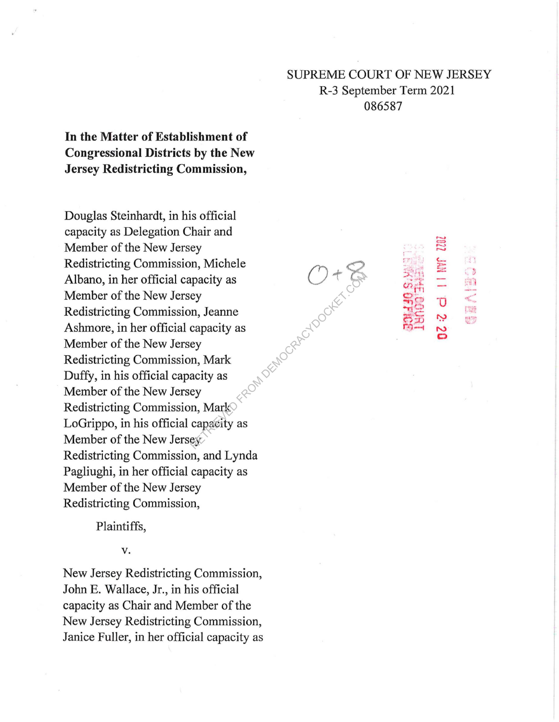## **SUPREME COURT OF NEW JERSEY** R-3 September Term 2021 086587

en

【類

In the Matter of Establishment of **Congressional Districts by the New Jersey Redistricting Commission,** 

Douglas Steinhardt, in his official capacity as Delegation Chair and Member of the New Jersey out of the control of the control of Redistricting Commission, Michele Albano, in her official capacity as Member of the New Jersey Redistricting Commission, Jeanne Ashmore, in her official capacity as Member of the New Jersey Redistricting Commission, Mark Duffy, in his official capacity as Member of the New Jersey Redistricting Commission, Mark LoGrippo, in his official capacity as Member of the New Jersey Redistricting Commission, and Lynda Pagliughi, in her official capacity as Member of the New Jersey Redistricting Commission,

Plaintiffs,

V.

New Jersey Redistricting Commission, John E. Wallace, Jr., in his official capacity as Chair and Member of the New Jersey Redistricting Commission, Janice Fuller, in her official capacity as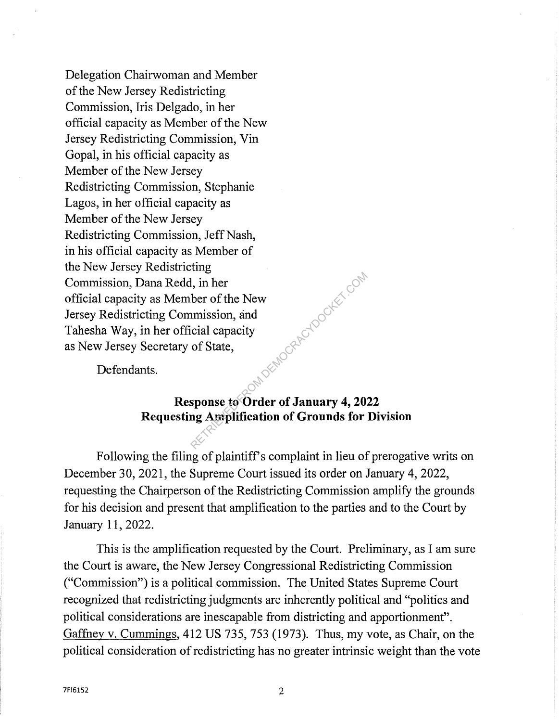Delegation Chairwoman and Member of the New Jersey Redistricting Commission, Iris Delgado, in her official capacity as Member of the New Jersey Redistricting Commission, Vin Gopal, in his official capacity as Member of the New Jersey Redistricting Commission, Stephanie Lagos, in her official capacity as Member of the New Jersey Redistricting Commission, Jeff Nash, in his official capacity as Member of the New Jersey Redistricting Commission, Dana Redd, in her official capacity as Member of the New Jersey Redistricting Commission, and Tahesha Way, in her official capacity as New Jersey Secretary of State, LOW DEMOCRAETOOCKET.COM

Defendants.

## **Response to Order of January 4, 2022 Requesting Amplification of Grounds for Division**

Following the filing of plaintiff's complaint in lieu of prerogative writs on December 30, 2021, the Supreme Court issued its order on January 4, 2022, requesting the Chairperson of the Redistricting Commission amplify the grounds for his decision and present that amplification to the parties and to the Court by January 11, 2022.

This is the amplification requested by the Court. Preliminary, as I am sure the Court is aware, the New Jersey Congressional Redistricting Commission ("Commission") is a political commission. The United States Supreme Court recognized that redistricting judgments are inherently political and "politics and political considerations are inescapable from districting and apportionment". Gaffney v. Cummings, 412 US 735, 753 (1973). Thus, my vote, as Chair, on the political consideration of redistricting has no greater intrinsic weight than the vote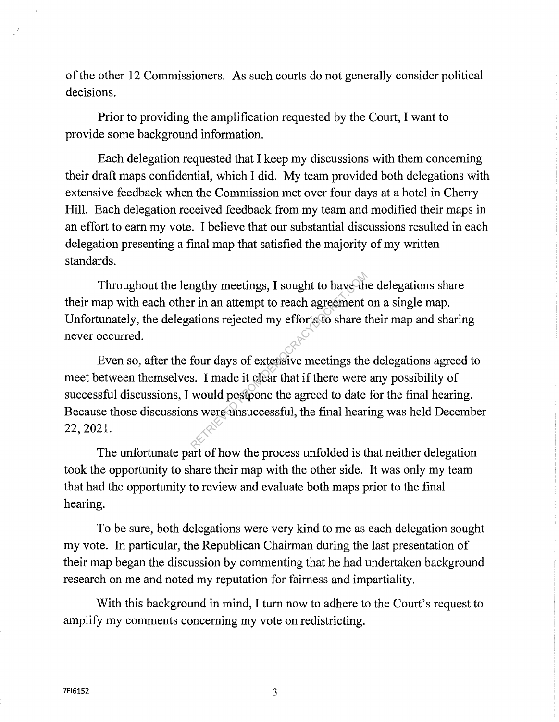of the other 12 Commissioners. As such courts do not generally consider political decisions.

Prior to providing the amplification requested by the Court, I want to provide some background information.

Each delegation requested that I keep my discussions with them concerning their draft maps confidential, which I did. My team provided both delegations with extensive feedback when the Commission met over four days at a hotel in Cherry Hill. Each delegation received feedback from my team and modified their maps in an effort to earn my vote. I believe that our substantial discussions resulted in each delegation presenting a final map that satisfied the majority of my written standards.

Throughout the lengthy meetings, I sought to have the delegations share their map with each other in an attempt to reach agreement on a single map. Unfortunately, the delegations rejected my efforts to share their map and sharing never occurred.

Even so, after the four days of extensive meetings the delegations agreed to meet between themselves. I made it clear that if there were any possibility of successful discussions, I would postpone the agreed to date for the final hearing. Because those discussions were unsuccessful, the final hearing was held December 22, 2021. metings, I sought to have the r in an attempt to reach agreement<br>ations rejected my efforts to share to<br>four days of extensive meetings the<br>s. I made it clear that if there were<br>would postpone the agreed to date<br>is were un

The unfortunate part of how the process unfolded is that neither delegation took the opportunity to share their map with the other side. It was only my team that had the opportunity to review and evaluate both maps prior to the final hearing.

To be sure, both delegations were very kind to me as each delegation sought my vote. In particular, the Republican Chairman during the last presentation of their map began the discussion by commenting that he had undertaken background research on me and noted my reputation for fairness and impartiality.

With this background in mind, I tum now to adhere to the Court's request to amplify my comments concerning my vote on redistricting.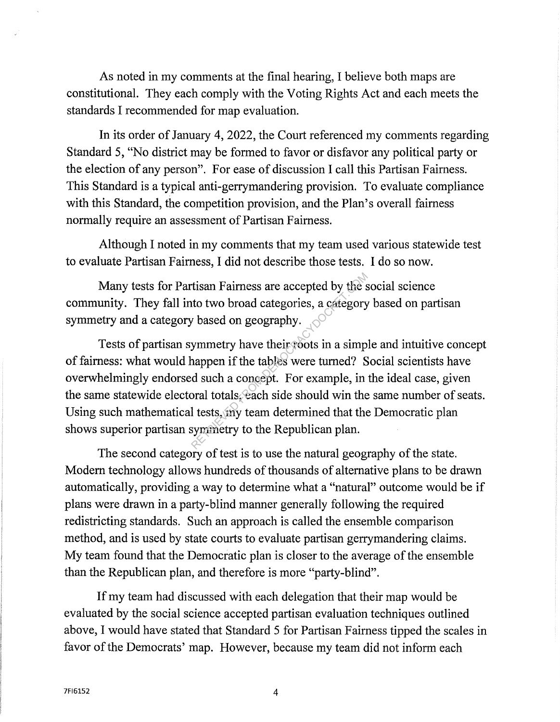As noted in my comments at the final hearing, I believe both maps are constitutional. They each comply with the Voting Rights Act and each meets the standards I recommended for map evaluation.

In its order of January 4, 2022, the Court referenced my comments regarding Standard 5, "No district may be formed to favor or disfavor any political party or the election of any person". For ease of discussion I call this Partisan Fairness. This Standard is a typical anti-gerrymandering provision. To evaluate compliance with this Standard, the competition provision, and the Plan's overall fairness normally require an assessment of Partisan Fairness.

Although I noted in my comments that my team used various statewide test to evaluate Partisan Fairness, I did not describe those tests. I do so now.

Many tests for Partisan Fairness are accepted by the social science community. They fall into two broad categories, a category based on partisan symmetry and a category based on geography. symmetry and a category based on geography.

Tests of partisan symmetry have their roots in a simple and intuitive concept of fairness: what would happen if the tables were turned? Social scientists have overwhelmingly endorsed such a concept. For example, in the ideal case, given the same statewide electoral totals, each side should win the same number of seats. Using such mathematical tests, my team determined that the Democratic plan shows superior partisan symmetry to the Republican plan. The state is a categories, a category<br>
x based on geography.<br>
ymmetry have their coots in a simp<br>
nappen if the tables were turned? S<br>
d such a concept. For example, in<br>
oral totals, each side should win the<br>
l tests, my t

The second category of test is to use the natural geography of the state. Modem technology allows hundreds of thousands of alternative plans to be drawn automatically, providing a way to determine what a "natural" outcome would be if plans were drawn in a party-blind manner generally following the required redistricting standards. Such an approach is called the ensemble comparison method, and is used by state courts to evaluate partisan gerrymandering claims. My team found that the Democratic plan is closer to the average of the ensemble than the Republican plan, and therefore is more "party-blind".

If my team had discussed with each delegation that their map would be evaluated by the social science accepted partisan evaluation techniques outlined above, I would have stated that Standard 5 for Partisan Fairness tipped the scales in favor of the Democrats' map. However, because my team did not inform each